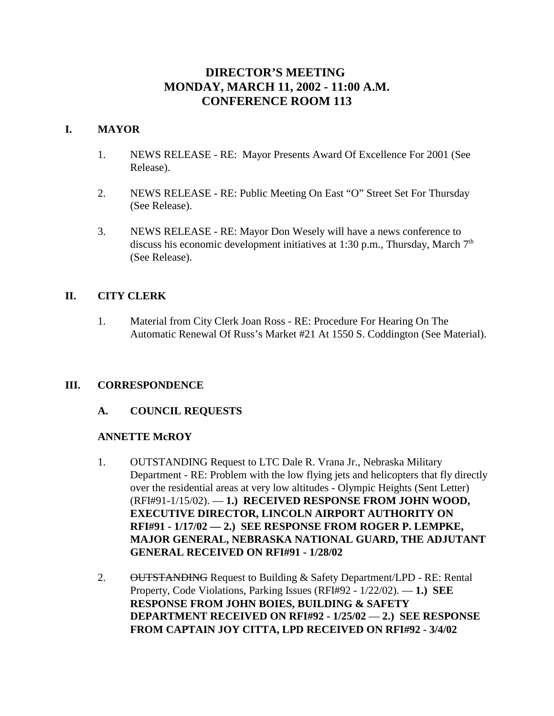# **DIRECTOR'S MEETING MONDAY, MARCH 11, 2002 - 11:00 A.M. CONFERENCE ROOM 113**

## **I. MAYOR**

- 1. NEWS RELEASE RE: Mayor Presents Award Of Excellence For 2001 (See Release).
- 2. NEWS RELEASE RE: Public Meeting On East "O" Street Set For Thursday (See Release).
- 3. NEWS RELEASE RE: Mayor Don Wesely will have a news conference to discuss his economic development initiatives at 1:30 p.m., Thursday, March  $7<sup>th</sup>$ (See Release).

# **II. CITY CLERK**

1. Material from City Clerk Joan Ross - RE: Procedure For Hearing On The Automatic Renewal Of Russ's Market #21 At 1550 S. Coddington (See Material).

## **III. CORRESPONDENCE**

## **A. COUNCIL REQUESTS**

## **ANNETTE McROY**

- 1. OUTSTANDING Request to LTC Dale R. Vrana Jr., Nebraska Military Department - RE: Problem with the low flying jets and helicopters that fly directly over the residential areas at very low altitudes - Olympic Heights (Sent Letter) (RFI#91-1/15/02). — **1.) RECEIVED RESPONSE FROM JOHN WOOD, EXECUTIVE DIRECTOR, LINCOLN AIRPORT AUTHORITY ON RFI#91 - 1/17/02 — 2.) SEE RESPONSE FROM ROGER P. LEMPKE, MAJOR GENERAL, NEBRASKA NATIONAL GUARD, THE ADJUTANT GENERAL RECEIVED ON RFI#91 - 1/28/02**
- 2. OUTSTANDING Request to Building & Safety Department/LPD RE: Rental Property, Code Violations, Parking Issues (RFI#92 - 1/22/02). — **1.) SEE RESPONSE FROM JOHN BOIES, BUILDING & SAFETY DEPARTMENT RECEIVED ON RFI#92 - 1/25/02** — **2.) SEE RESPONSE FROM CAPTAIN JOY CITTA, LPD RECEIVED ON RFI#92 - 3/4/02**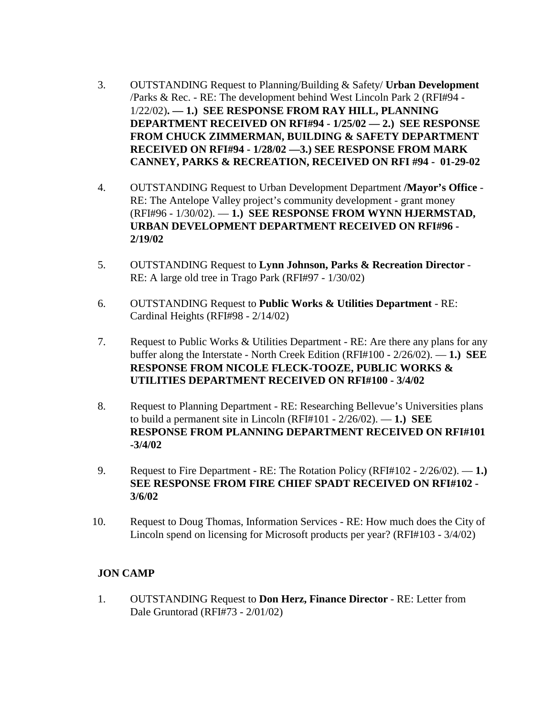- 3. OUTSTANDING Request to Planning/Building & Safety/ **Urban Development** /Parks & Rec. - RE: The development behind West Lincoln Park 2 (RFI#94 - 1/22/02)**. — 1.) SEE RESPONSE FROM RAY HILL, PLANNING DEPARTMENT RECEIVED ON RFI#94 - 1/25/02 — 2.) SEE RESPONSE FROM CHUCK ZIMMERMAN, BUILDING & SAFETY DEPARTMENT RECEIVED ON RFI#94 - 1/28/02 —3.) SEE RESPONSE FROM MARK CANNEY, PARKS & RECREATION, RECEIVED ON RFI #94 - 01-29-02**
- 4. OUTSTANDING Request to Urban Development Department **/Mayor's Office** RE: The Antelope Valley project's community development - grant money (RFI#96 - 1/30/02). — **1.) SEE RESPONSE FROM WYNN HJERMSTAD, URBAN DEVELOPMENT DEPARTMENT RECEIVED ON RFI#96 - 2/19/02**
- 5. OUTSTANDING Request to **Lynn Johnson, Parks & Recreation Director** RE: A large old tree in Trago Park (RFI#97 - 1/30/02)
- 6. OUTSTANDING Request to **Public Works & Utilities Department** RE: Cardinal Heights (RFI#98 - 2/14/02)
- 7. Request to Public Works & Utilities Department RE: Are there any plans for any buffer along the Interstate - North Creek Edition (RFI#100 - 2/26/02). — **1.) SEE RESPONSE FROM NICOLE FLECK-TOOZE, PUBLIC WORKS & UTILITIES DEPARTMENT RECEIVED ON RFI#100 - 3/4/02**
- 8. Request to Planning Department RE: Researching Bellevue's Universities plans to build a permanent site in Lincoln (RFI#101 - 2/26/02). — **1.) SEE RESPONSE FROM PLANNING DEPARTMENT RECEIVED ON RFI#101 -3/4/02**
- 9. Request to Fire Department RE: The Rotation Policy (RFI#102 2/26/02). **1.) SEE RESPONSE FROM FIRE CHIEF SPADT RECEIVED ON RFI#102 - 3/6/02**
- 10. Request to Doug Thomas, Information Services RE: How much does the City of Lincoln spend on licensing for Microsoft products per year? (RFI#103 - 3/4/02)

## **JON CAMP**

1. OUTSTANDING Request to **Don Herz, Finance Director** - RE: Letter from Dale Gruntorad (RFI#73 - 2/01/02)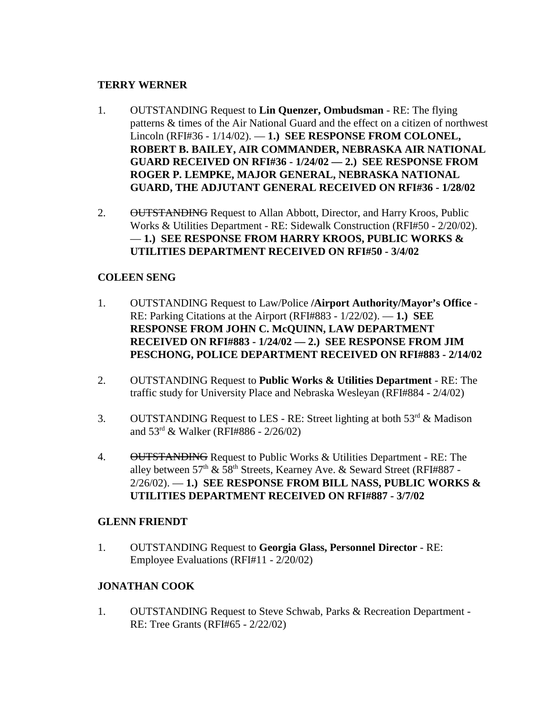## **TERRY WERNER**

- 1. OUTSTANDING Request to **Lin Quenzer, Ombudsman** RE: The flying patterns & times of the Air National Guard and the effect on a citizen of northwest Lincoln (RFI#36 - 1/14/02). — **1.) SEE RESPONSE FROM COLONEL, ROBERT B. BAILEY, AIR COMMANDER, NEBRASKA AIR NATIONAL GUARD RECEIVED ON RFI#36 - 1/24/02 — 2.) SEE RESPONSE FROM ROGER P. LEMPKE, MAJOR GENERAL, NEBRASKA NATIONAL GUARD, THE ADJUTANT GENERAL RECEIVED ON RFI#36 - 1/28/02**
- 2. OUTSTANDING Request to Allan Abbott, Director, and Harry Kroos, Public Works & Utilities Department - RE: Sidewalk Construction (RFI#50 - 2/20/02). — **1.) SEE RESPONSE FROM HARRY KROOS, PUBLIC WORKS & UTILITIES DEPARTMENT RECEIVED ON RFI#50 - 3/4/02**

## **COLEEN SENG**

- 1. OUTSTANDING Request to Law/Police **/Airport Authority/Mayor's Office** RE: Parking Citations at the Airport (RFI#883 - 1/22/02). — **1.) SEE RESPONSE FROM JOHN C. McQUINN, LAW DEPARTMENT RECEIVED ON RFI#883 - 1/24/02 — 2.) SEE RESPONSE FROM JIM PESCHONG, POLICE DEPARTMENT RECEIVED ON RFI#883 - 2/14/02**
- 2. OUTSTANDING Request to **Public Works & Utilities Department** RE: The traffic study for University Place and Nebraska Wesleyan (RFI#884 - 2/4/02)
- 3. OUTSTANDING Request to LES RE: Street lighting at both  $53<sup>rd</sup>$  & Madison and  $53^{rd}$  & Walker (RFI#886 - 2/26/02)
- 4. OUTSTANDING Request to Public Works & Utilities Department RE: The alley between 57<sup>th</sup> & 58<sup>th</sup> Streets, Kearney Ave. & Seward Street (RFI#887 -2/26/02). — **1.) SEE RESPONSE FROM BILL NASS, PUBLIC WORKS & UTILITIES DEPARTMENT RECEIVED ON RFI#887 - 3/7/02**

## **GLENN FRIENDT**

1. OUTSTANDING Request to **Georgia Glass, Personnel Director** - RE: Employee Evaluations (RFI#11 - 2/20/02)

## **JONATHAN COOK**

1. OUTSTANDING Request to Steve Schwab, Parks & Recreation Department - RE: Tree Grants (RFI#65 - 2/22/02)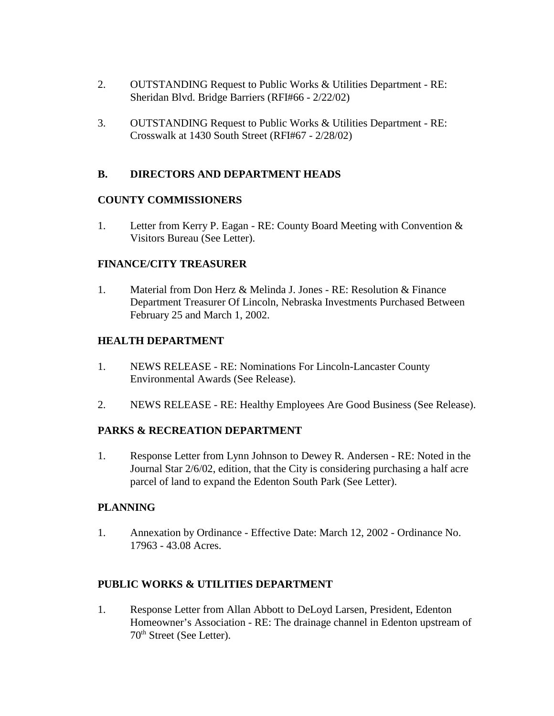- 2. OUTSTANDING Request to Public Works & Utilities Department RE: Sheridan Blvd. Bridge Barriers (RFI#66 - 2/22/02)
- 3. OUTSTANDING Request to Public Works & Utilities Department RE: Crosswalk at 1430 South Street (RFI#67 - 2/28/02)

# **B. DIRECTORS AND DEPARTMENT HEADS**

# **COUNTY COMMISSIONERS**

1. Letter from Kerry P. Eagan - RE: County Board Meeting with Convention & Visitors Bureau (See Letter).

# **FINANCE/CITY TREASURER**

1. Material from Don Herz & Melinda J. Jones - RE: Resolution & Finance Department Treasurer Of Lincoln, Nebraska Investments Purchased Between February 25 and March 1, 2002.

# **HEALTH DEPARTMENT**

- 1. NEWS RELEASE RE: Nominations For Lincoln-Lancaster County Environmental Awards (See Release).
- 2. NEWS RELEASE RE: Healthy Employees Are Good Business (See Release).

# **PARKS & RECREATION DEPARTMENT**

1. Response Letter from Lynn Johnson to Dewey R. Andersen - RE: Noted in the Journal Star 2/6/02, edition, that the City is considering purchasing a half acre parcel of land to expand the Edenton South Park (See Letter).

# **PLANNING**

1. Annexation by Ordinance - Effective Date: March 12, 2002 - Ordinance No. 17963 - 43.08 Acres.

# **PUBLIC WORKS & UTILITIES DEPARTMENT**

1. Response Letter from Allan Abbott to DeLoyd Larsen, President, Edenton Homeowner's Association - RE: The drainage channel in Edenton upstream of 70th Street (See Letter).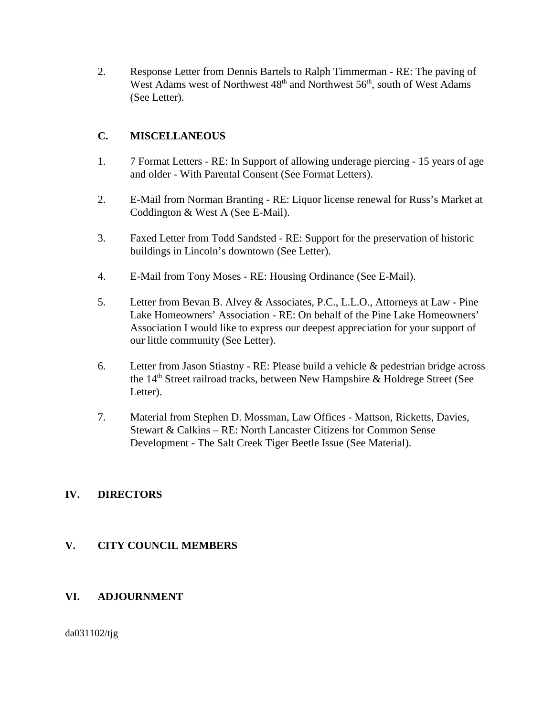2. Response Letter from Dennis Bartels to Ralph Timmerman - RE: The paving of West Adams west of Northwest  $48<sup>th</sup>$  and Northwest  $56<sup>th</sup>$ , south of West Adams (See Letter).

# **C. MISCELLANEOUS**

- 1. 7 Format Letters RE: In Support of allowing underage piercing 15 years of age and older - With Parental Consent (See Format Letters).
- 2. E-Mail from Norman Branting RE: Liquor license renewal for Russ's Market at Coddington & West A (See E-Mail).
- 3. Faxed Letter from Todd Sandsted RE: Support for the preservation of historic buildings in Lincoln's downtown (See Letter).
- 4. E-Mail from Tony Moses RE: Housing Ordinance (See E-Mail).
- 5. Letter from Bevan B. Alvey & Associates, P.C., L.L.O., Attorneys at Law Pine Lake Homeowners' Association - RE: On behalf of the Pine Lake Homeowners' Association I would like to express our deepest appreciation for your support of our little community (See Letter).
- 6. Letter from Jason Stiastny RE: Please build a vehicle & pedestrian bridge across the 14th Street railroad tracks, between New Hampshire & Holdrege Street (See Letter).
- 7. Material from Stephen D. Mossman, Law Offices Mattson, Ricketts, Davies, Stewart & Calkins – RE: North Lancaster Citizens for Common Sense Development - The Salt Creek Tiger Beetle Issue (See Material).

## **IV. DIRECTORS**

## **V. CITY COUNCIL MEMBERS**

## **VI. ADJOURNMENT**

da031102/tjg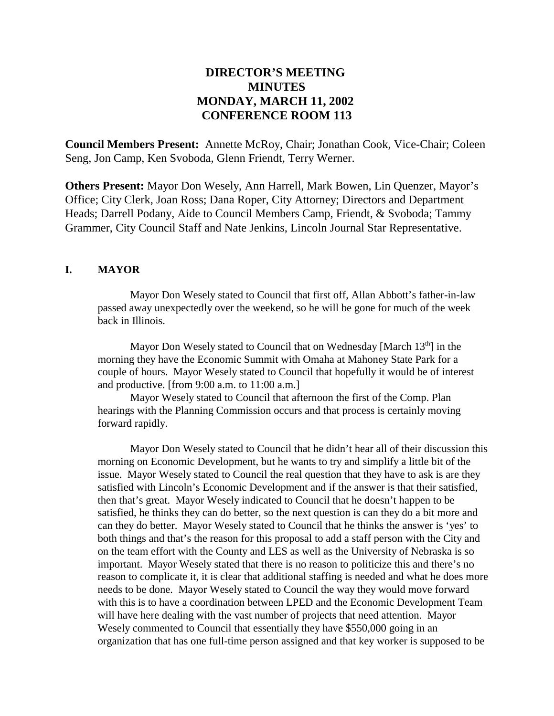# **DIRECTOR'S MEETING MINUTES MONDAY, MARCH 11, 2002 CONFERENCE ROOM 113**

**Council Members Present:** Annette McRoy, Chair; Jonathan Cook, Vice-Chair; Coleen Seng, Jon Camp, Ken Svoboda, Glenn Friendt, Terry Werner.

**Others Present:** Mayor Don Wesely, Ann Harrell, Mark Bowen, Lin Quenzer, Mayor's Office; City Clerk, Joan Ross; Dana Roper, City Attorney; Directors and Department Heads; Darrell Podany, Aide to Council Members Camp, Friendt, & Svoboda; Tammy Grammer, City Council Staff and Nate Jenkins, Lincoln Journal Star Representative.

## **I. MAYOR**

Mayor Don Wesely stated to Council that first off, Allan Abbott's father-in-law passed away unexpectedly over the weekend, so he will be gone for much of the week back in Illinois.

Mayor Don Wesely stated to Council that on Wednesday [March 13<sup>th</sup>] in the morning they have the Economic Summit with Omaha at Mahoney State Park for a couple of hours. Mayor Wesely stated to Council that hopefully it would be of interest and productive. [from 9:00 a.m. to 11:00 a.m.]

Mayor Wesely stated to Council that afternoon the first of the Comp. Plan hearings with the Planning Commission occurs and that process is certainly moving forward rapidly.

Mayor Don Wesely stated to Council that he didn't hear all of their discussion this morning on Economic Development, but he wants to try and simplify a little bit of the issue. Mayor Wesely stated to Council the real question that they have to ask is are they satisfied with Lincoln's Economic Development and if the answer is that their satisfied, then that's great. Mayor Wesely indicated to Council that he doesn't happen to be satisfied, he thinks they can do better, so the next question is can they do a bit more and can they do better. Mayor Wesely stated to Council that he thinks the answer is 'yes' to both things and that's the reason for this proposal to add a staff person with the City and on the team effort with the County and LES as well as the University of Nebraska is so important. Mayor Wesely stated that there is no reason to politicize this and there's no reason to complicate it, it is clear that additional staffing is needed and what he does more needs to be done. Mayor Wesely stated to Council the way they would move forward with this is to have a coordination between LPED and the Economic Development Team will have here dealing with the vast number of projects that need attention. Mayor Wesely commented to Council that essentially they have \$550,000 going in an organization that has one full-time person assigned and that key worker is supposed to be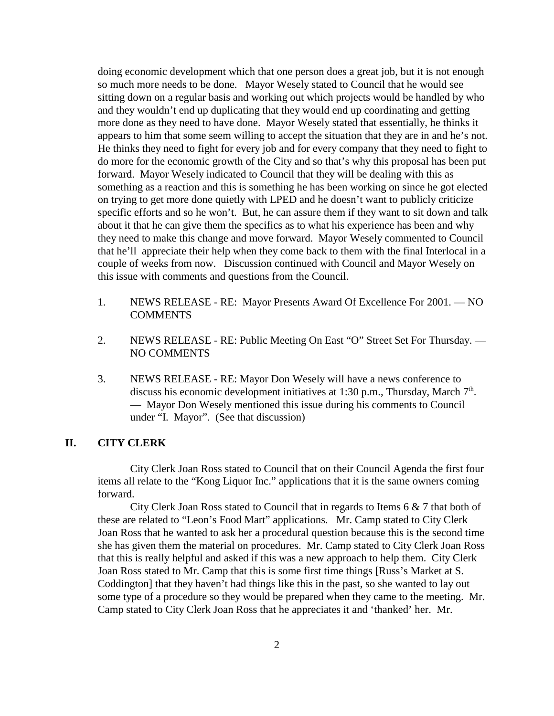doing economic development which that one person does a great job, but it is not enough so much more needs to be done. Mayor Wesely stated to Council that he would see sitting down on a regular basis and working out which projects would be handled by who and they wouldn't end up duplicating that they would end up coordinating and getting more done as they need to have done. Mayor Wesely stated that essentially, he thinks it appears to him that some seem willing to accept the situation that they are in and he's not. He thinks they need to fight for every job and for every company that they need to fight to do more for the economic growth of the City and so that's why this proposal has been put forward. Mayor Wesely indicated to Council that they will be dealing with this as something as a reaction and this is something he has been working on since he got elected on trying to get more done quietly with LPED and he doesn't want to publicly criticize specific efforts and so he won't. But, he can assure them if they want to sit down and talk about it that he can give them the specifics as to what his experience has been and why they need to make this change and move forward. Mayor Wesely commented to Council that he'll appreciate their help when they come back to them with the final Interlocal in a couple of weeks from now. Discussion continued with Council and Mayor Wesely on this issue with comments and questions from the Council.

- 1. NEWS RELEASE RE: Mayor Presents Award Of Excellence For 2001. NO **COMMENTS**
- 2. NEWS RELEASE RE: Public Meeting On East "O" Street Set For Thursday. NO COMMENTS
- 3. NEWS RELEASE RE: Mayor Don Wesely will have a news conference to discuss his economic development initiatives at 1:30 p.m., Thursday, March  $7<sup>th</sup>$ . — Mayor Don Wesely mentioned this issue during his comments to Council under "I. Mayor". (See that discussion)

## **II. CITY CLERK**

City Clerk Joan Ross stated to Council that on their Council Agenda the first four items all relate to the "Kong Liquor Inc." applications that it is the same owners coming forward.

City Clerk Joan Ross stated to Council that in regards to Items 6 & 7 that both of these are related to "Leon's Food Mart" applications. Mr. Camp stated to City Clerk Joan Ross that he wanted to ask her a procedural question because this is the second time she has given them the material on procedures. Mr. Camp stated to City Clerk Joan Ross that this is really helpful and asked if this was a new approach to help them. City Clerk Joan Ross stated to Mr. Camp that this is some first time things [Russ's Market at S. Coddington] that they haven't had things like this in the past, so she wanted to lay out some type of a procedure so they would be prepared when they came to the meeting. Mr. Camp stated to City Clerk Joan Ross that he appreciates it and 'thanked' her. Mr.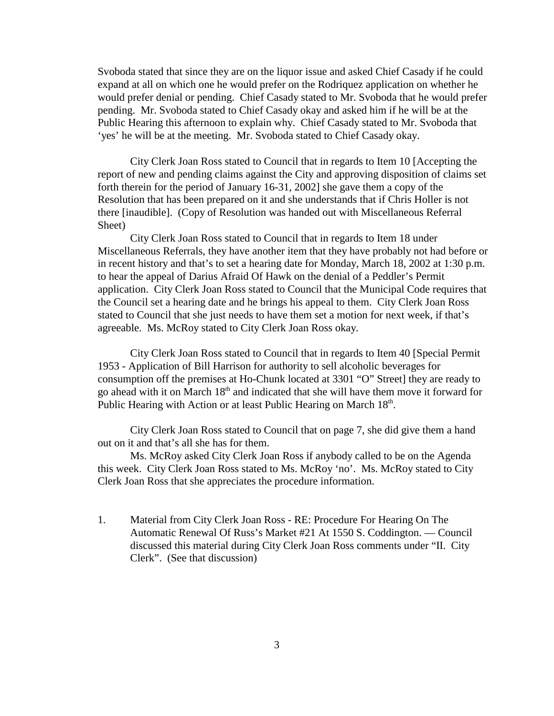Svoboda stated that since they are on the liquor issue and asked Chief Casady if he could expand at all on which one he would prefer on the Rodriquez application on whether he would prefer denial or pending. Chief Casady stated to Mr. Svoboda that he would prefer pending. Mr. Svoboda stated to Chief Casady okay and asked him if he will be at the Public Hearing this afternoon to explain why. Chief Casady stated to Mr. Svoboda that 'yes' he will be at the meeting. Mr. Svoboda stated to Chief Casady okay.

City Clerk Joan Ross stated to Council that in regards to Item 10 [Accepting the report of new and pending claims against the City and approving disposition of claims set forth therein for the period of January 16-31, 2002] she gave them a copy of the Resolution that has been prepared on it and she understands that if Chris Holler is not there [inaudible]. (Copy of Resolution was handed out with Miscellaneous Referral Sheet)

City Clerk Joan Ross stated to Council that in regards to Item 18 under Miscellaneous Referrals, they have another item that they have probably not had before or in recent history and that's to set a hearing date for Monday, March 18, 2002 at 1:30 p.m. to hear the appeal of Darius Afraid Of Hawk on the denial of a Peddler's Permit application. City Clerk Joan Ross stated to Council that the Municipal Code requires that the Council set a hearing date and he brings his appeal to them. City Clerk Joan Ross stated to Council that she just needs to have them set a motion for next week, if that's agreeable. Ms. McRoy stated to City Clerk Joan Ross okay.

City Clerk Joan Ross stated to Council that in regards to Item 40 [Special Permit 1953 - Application of Bill Harrison for authority to sell alcoholic beverages for consumption off the premises at Ho-Chunk located at 3301 "O" Street] they are ready to go ahead with it on March 18th and indicated that she will have them move it forward for Public Hearing with Action or at least Public Hearing on March 18<sup>th</sup>.

City Clerk Joan Ross stated to Council that on page 7, she did give them a hand out on it and that's all she has for them.

Ms. McRoy asked City Clerk Joan Ross if anybody called to be on the Agenda this week. City Clerk Joan Ross stated to Ms. McRoy 'no'. Ms. McRoy stated to City Clerk Joan Ross that she appreciates the procedure information.

1. Material from City Clerk Joan Ross - RE: Procedure For Hearing On The Automatic Renewal Of Russ's Market #21 At 1550 S. Coddington. — Council discussed this material during City Clerk Joan Ross comments under "II. City Clerk". (See that discussion)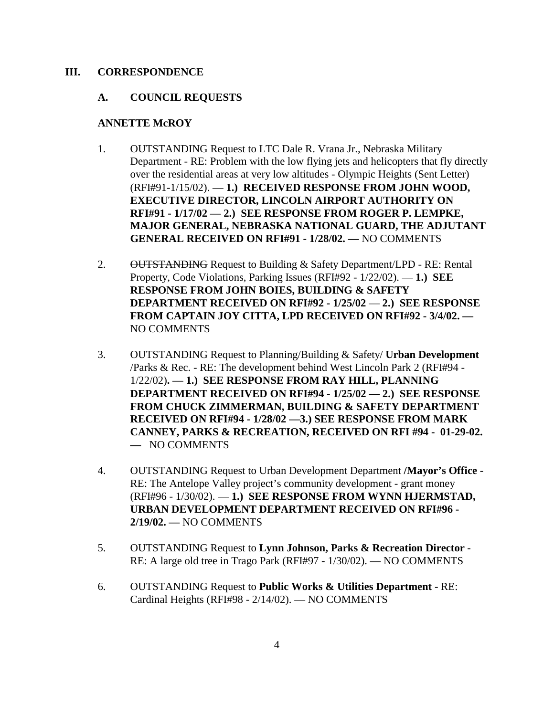### **III. CORRESPONDENCE**

## **A. COUNCIL REQUESTS**

#### **ANNETTE McROY**

- 1. OUTSTANDING Request to LTC Dale R. Vrana Jr., Nebraska Military Department - RE: Problem with the low flying jets and helicopters that fly directly over the residential areas at very low altitudes - Olympic Heights (Sent Letter) (RFI#91-1/15/02). — **1.) RECEIVED RESPONSE FROM JOHN WOOD, EXECUTIVE DIRECTOR, LINCOLN AIRPORT AUTHORITY ON RFI#91 - 1/17/02 — 2.) SEE RESPONSE FROM ROGER P. LEMPKE, MAJOR GENERAL, NEBRASKA NATIONAL GUARD, THE ADJUTANT GENERAL RECEIVED ON RFI#91 - 1/28/02. —** NO COMMENTS
- 2. OUTSTANDING Request to Building & Safety Department/LPD RE: Rental Property, Code Violations, Parking Issues (RFI#92 - 1/22/02). — **1.) SEE RESPONSE FROM JOHN BOIES, BUILDING & SAFETY DEPARTMENT RECEIVED ON RFI#92 - 1/25/02** — **2.) SEE RESPONSE FROM CAPTAIN JOY CITTA, LPD RECEIVED ON RFI#92 - 3/4/02. —** NO COMMENTS
- 3. OUTSTANDING Request to Planning/Building & Safety/ **Urban Development** /Parks & Rec. - RE: The development behind West Lincoln Park 2 (RFI#94 - 1/22/02)**. — 1.) SEE RESPONSE FROM RAY HILL, PLANNING DEPARTMENT RECEIVED ON RFI#94 - 1/25/02 — 2.) SEE RESPONSE FROM CHUCK ZIMMERMAN, BUILDING & SAFETY DEPARTMENT RECEIVED ON RFI#94 - 1/28/02 —3.) SEE RESPONSE FROM MARK CANNEY, PARKS & RECREATION, RECEIVED ON RFI #94 - 01-29-02. —** NO COMMENTS
- 4. OUTSTANDING Request to Urban Development Department **/Mayor's Office** RE: The Antelope Valley project's community development - grant money (RFI#96 - 1/30/02). — **1.) SEE RESPONSE FROM WYNN HJERMSTAD, URBAN DEVELOPMENT DEPARTMENT RECEIVED ON RFI#96 - 2/19/02. —** NO COMMENTS
- 5. OUTSTANDING Request to **Lynn Johnson, Parks & Recreation Director** RE: A large old tree in Trago Park (RFI#97 - 1/30/02). — NO COMMENTS
- 6. OUTSTANDING Request to **Public Works & Utilities Department** RE: Cardinal Heights (RFI#98 - 2/14/02). — NO COMMENTS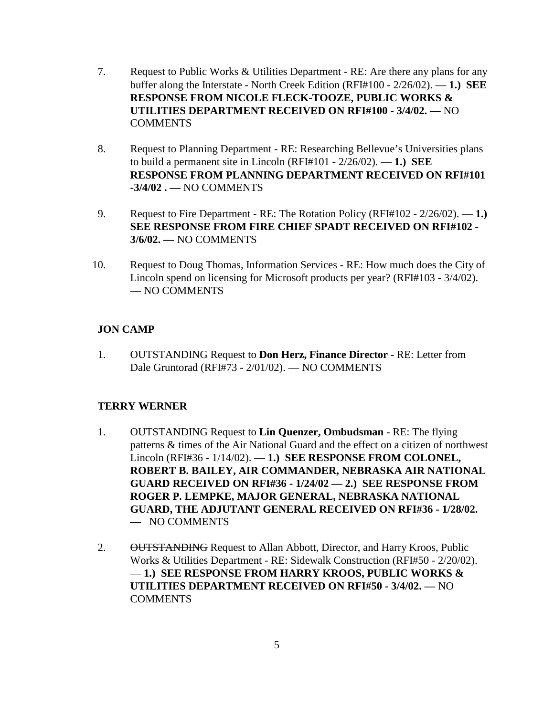- 7. Request to Public Works & Utilities Department RE: Are there any plans for any buffer along the Interstate - North Creek Edition (RFI#100 - 2/26/02). — **1.) SEE RESPONSE FROM NICOLE FLECK-TOOZE, PUBLIC WORKS & UTILITIES DEPARTMENT RECEIVED ON RFI#100 - 3/4/02. —** NO **COMMENTS**
- 8. Request to Planning Department RE: Researching Bellevue's Universities plans to build a permanent site in Lincoln (RFI#101 - 2/26/02). — **1.) SEE RESPONSE FROM PLANNING DEPARTMENT RECEIVED ON RFI#101 -3/4/02 . —** NO COMMENTS
- 9. Request to Fire Department RE: The Rotation Policy (RFI#102 2/26/02). **1.) SEE RESPONSE FROM FIRE CHIEF SPADT RECEIVED ON RFI#102 - 3/6/02. —** NO COMMENTS
- 10. Request to Doug Thomas, Information Services RE: How much does the City of Lincoln spend on licensing for Microsoft products per year? (RFI#103 - 3/4/02). — NO COMMENTS

## **JON CAMP**

1. OUTSTANDING Request to **Don Herz, Finance Director** - RE: Letter from Dale Gruntorad (RFI#73 - 2/01/02). — NO COMMENTS

## **TERRY WERNER**

- 1. OUTSTANDING Request to **Lin Quenzer, Ombudsman** RE: The flying patterns & times of the Air National Guard and the effect on a citizen of northwest Lincoln (RFI#36 - 1/14/02). — **1.) SEE RESPONSE FROM COLONEL, ROBERT B. BAILEY, AIR COMMANDER, NEBRASKA AIR NATIONAL GUARD RECEIVED ON RFI#36 - 1/24/02 — 2.) SEE RESPONSE FROM ROGER P. LEMPKE, MAJOR GENERAL, NEBRASKA NATIONAL GUARD, THE ADJUTANT GENERAL RECEIVED ON RFI#36 - 1/28/02. —** NO COMMENTS
- 2. OUTSTANDING Request to Allan Abbott, Director, and Harry Kroos, Public Works & Utilities Department - RE: Sidewalk Construction (RFI#50 - 2/20/02). — **1.) SEE RESPONSE FROM HARRY KROOS, PUBLIC WORKS & UTILITIES DEPARTMENT RECEIVED ON RFI#50 - 3/4/02. —** NO COMMENTS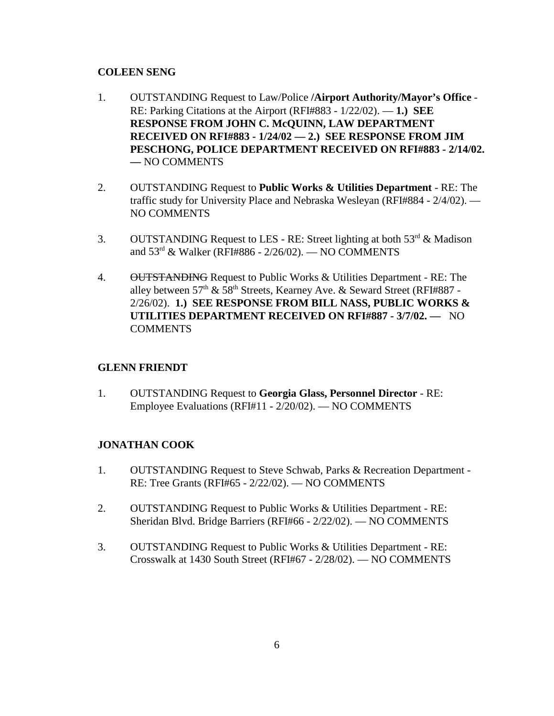## **COLEEN SENG**

- 1. OUTSTANDING Request to Law/Police **/Airport Authority/Mayor's Office** RE: Parking Citations at the Airport (RFI#883 - 1/22/02). — **1.) SEE RESPONSE FROM JOHN C. McQUINN, LAW DEPARTMENT RECEIVED ON RFI#883 - 1/24/02 — 2.) SEE RESPONSE FROM JIM PESCHONG, POLICE DEPARTMENT RECEIVED ON RFI#883 - 2/14/02. —** NO COMMENTS
- 2. OUTSTANDING Request to **Public Works & Utilities Department** RE: The traffic study for University Place and Nebraska Wesleyan (RFI#884 - 2/4/02). — NO COMMENTS
- 3. OUTSTANDING Request to LES RE: Street lighting at both  $53^{\text{rd}}$  & Madison and 53rd & Walker (RFI#886 - 2/26/02). — NO COMMENTS
- 4. OUTSTANDING Request to Public Works & Utilities Department RE: The alley between  $57<sup>th</sup>$  &  $58<sup>th</sup>$  Streets, Kearney Ave. & Seward Street (RFI#887 -2/26/02). **1.) SEE RESPONSE FROM BILL NASS, PUBLIC WORKS & UTILITIES DEPARTMENT RECEIVED ON RFI#887 - 3/7/02. —** NO **COMMENTS**

## **GLENN FRIENDT**

1. OUTSTANDING Request to **Georgia Glass, Personnel Director** - RE: Employee Evaluations (RFI#11 - 2/20/02). — NO COMMENTS

## **JONATHAN COOK**

- 1. OUTSTANDING Request to Steve Schwab, Parks & Recreation Department RE: Tree Grants (RFI#65 - 2/22/02). — NO COMMENTS
- 2. OUTSTANDING Request to Public Works & Utilities Department RE: Sheridan Blvd. Bridge Barriers (RFI#66 - 2/22/02). — NO COMMENTS
- 3. OUTSTANDING Request to Public Works & Utilities Department RE: Crosswalk at 1430 South Street (RFI#67 - 2/28/02). — NO COMMENTS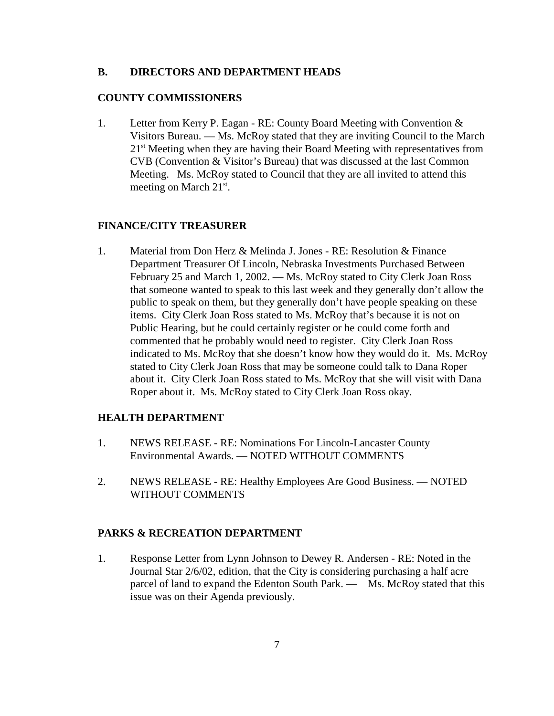#### **B. DIRECTORS AND DEPARTMENT HEADS**

#### **COUNTY COMMISSIONERS**

1. Letter from Kerry P. Eagan - RE: County Board Meeting with Convention & Visitors Bureau. — Ms. McRoy stated that they are inviting Council to the March 21<sup>st</sup> Meeting when they are having their Board Meeting with representatives from CVB (Convention & Visitor's Bureau) that was discussed at the last Common Meeting. Ms. McRoy stated to Council that they are all invited to attend this meeting on March 21<sup>st</sup>.

#### **FINANCE/CITY TREASURER**

1. Material from Don Herz & Melinda J. Jones - RE: Resolution & Finance Department Treasurer Of Lincoln, Nebraska Investments Purchased Between February 25 and March 1, 2002. — Ms. McRoy stated to City Clerk Joan Ross that someone wanted to speak to this last week and they generally don't allow the public to speak on them, but they generally don't have people speaking on these items. City Clerk Joan Ross stated to Ms. McRoy that's because it is not on Public Hearing, but he could certainly register or he could come forth and commented that he probably would need to register. City Clerk Joan Ross indicated to Ms. McRoy that she doesn't know how they would do it. Ms. McRoy stated to City Clerk Joan Ross that may be someone could talk to Dana Roper about it. City Clerk Joan Ross stated to Ms. McRoy that she will visit with Dana Roper about it. Ms. McRoy stated to City Clerk Joan Ross okay.

## **HEALTH DEPARTMENT**

- 1. NEWS RELEASE RE: Nominations For Lincoln-Lancaster County Environmental Awards. — NOTED WITHOUT COMMENTS
- 2. NEWS RELEASE RE: Healthy Employees Are Good Business. NOTED WITHOUT COMMENTS

#### **PARKS & RECREATION DEPARTMENT**

1. Response Letter from Lynn Johnson to Dewey R. Andersen - RE: Noted in the Journal Star 2/6/02, edition, that the City is considering purchasing a half acre parcel of land to expand the Edenton South Park. — Ms. McRoy stated that this issue was on their Agenda previously.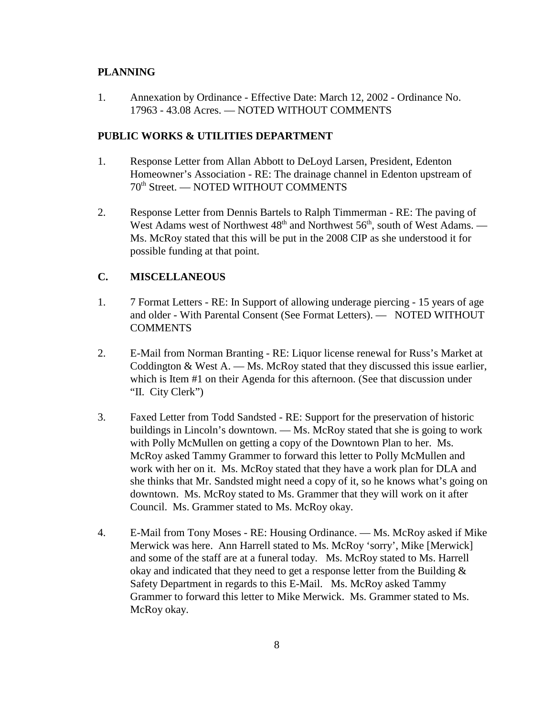#### **PLANNING**

1. Annexation by Ordinance - Effective Date: March 12, 2002 - Ordinance No. 17963 - 43.08 Acres. — NOTED WITHOUT COMMENTS

#### **PUBLIC WORKS & UTILITIES DEPARTMENT**

- 1. Response Letter from Allan Abbott to DeLoyd Larsen, President, Edenton Homeowner's Association - RE: The drainage channel in Edenton upstream of 70th Street. — NOTED WITHOUT COMMENTS
- 2. Response Letter from Dennis Bartels to Ralph Timmerman RE: The paving of West Adams west of Northwest  $48<sup>th</sup>$  and Northwest  $56<sup>th</sup>$ , south of West Adams. — Ms. McRoy stated that this will be put in the 2008 CIP as she understood it for possible funding at that point.

## **C. MISCELLANEOUS**

- 1. 7 Format Letters RE: In Support of allowing underage piercing 15 years of age and older - With Parental Consent (See Format Letters). — NOTED WITHOUT **COMMENTS**
- 2. E-Mail from Norman Branting RE: Liquor license renewal for Russ's Market at Coddington  $& West A.$  — Ms. McRoy stated that they discussed this issue earlier, which is Item #1 on their Agenda for this afternoon. (See that discussion under "II. City Clerk")
- 3. Faxed Letter from Todd Sandsted RE: Support for the preservation of historic buildings in Lincoln's downtown. — Ms. McRoy stated that she is going to work with Polly McMullen on getting a copy of the Downtown Plan to her. Ms. McRoy asked Tammy Grammer to forward this letter to Polly McMullen and work with her on it. Ms. McRoy stated that they have a work plan for DLA and she thinks that Mr. Sandsted might need a copy of it, so he knows what's going on downtown. Ms. McRoy stated to Ms. Grammer that they will work on it after Council. Ms. Grammer stated to Ms. McRoy okay.
- 4. E-Mail from Tony Moses RE: Housing Ordinance. Ms. McRoy asked if Mike Merwick was here. Ann Harrell stated to Ms. McRoy 'sorry', Mike [Merwick] and some of the staff are at a funeral today. Ms. McRoy stated to Ms. Harrell okay and indicated that they need to get a response letter from the Building & Safety Department in regards to this E-Mail. Ms. McRoy asked Tammy Grammer to forward this letter to Mike Merwick. Ms. Grammer stated to Ms. McRoy okay.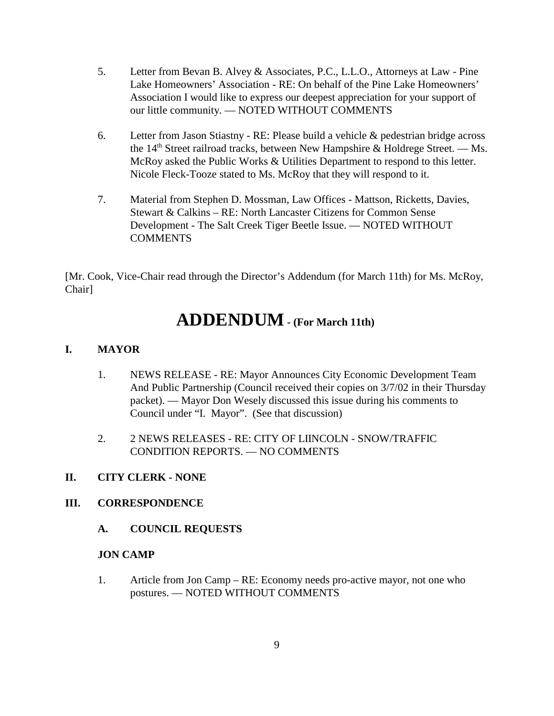- 5. Letter from Bevan B. Alvey & Associates, P.C., L.L.O., Attorneys at Law Pine Lake Homeowners' Association - RE: On behalf of the Pine Lake Homeowners' Association I would like to express our deepest appreciation for your support of our little community. — NOTED WITHOUT COMMENTS
- 6. Letter from Jason Stiastny RE: Please build a vehicle & pedestrian bridge across the  $14<sup>th</sup>$  Street railroad tracks, between New Hampshire & Holdrege Street. — Ms. McRoy asked the Public Works & Utilities Department to respond to this letter. Nicole Fleck-Tooze stated to Ms. McRoy that they will respond to it.
- 7. Material from Stephen D. Mossman, Law Offices Mattson, Ricketts, Davies, Stewart & Calkins – RE: North Lancaster Citizens for Common Sense Development - The Salt Creek Tiger Beetle Issue. — NOTED WITHOUT COMMENTS

[Mr. Cook, Vice-Chair read through the Director's Addendum (for March 11th) for Ms. McRoy, Chair]

# **ADDENDUM - (For March 11th)**

# **I. MAYOR**

- 1. NEWS RELEASE RE: Mayor Announces City Economic Development Team And Public Partnership (Council received their copies on 3/7/02 in their Thursday packet). — Mayor Don Wesely discussed this issue during his comments to Council under "I. Mayor". (See that discussion)
- 2. 2 NEWS RELEASES RE: CITY OF LIINCOLN SNOW/TRAFFIC CONDITION REPORTS. — NO COMMENTS

## **II. CITY CLERK - NONE**

## **III. CORRESPONDENCE**

**A. COUNCIL REQUESTS**

## **JON CAMP**

1. Article from Jon Camp – RE: Economy needs pro-active mayor, not one who postures. — NOTED WITHOUT COMMENTS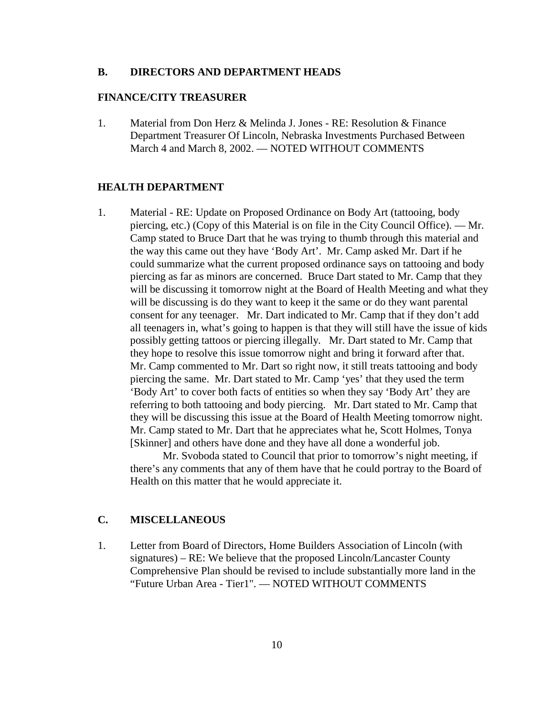#### **B. DIRECTORS AND DEPARTMENT HEADS**

#### **FINANCE/CITY TREASURER**

1. Material from Don Herz & Melinda J. Jones - RE: Resolution & Finance Department Treasurer Of Lincoln, Nebraska Investments Purchased Between March 4 and March 8, 2002. — NOTED WITHOUT COMMENTS

#### **HEALTH DEPARTMENT**

1. Material - RE: Update on Proposed Ordinance on Body Art (tattooing, body piercing, etc.) (Copy of this Material is on file in the City Council Office). — Mr. Camp stated to Bruce Dart that he was trying to thumb through this material and the way this came out they have 'Body Art'. Mr. Camp asked Mr. Dart if he could summarize what the current proposed ordinance says on tattooing and body piercing as far as minors are concerned. Bruce Dart stated to Mr. Camp that they will be discussing it tomorrow night at the Board of Health Meeting and what they will be discussing is do they want to keep it the same or do they want parental consent for any teenager. Mr. Dart indicated to Mr. Camp that if they don't add all teenagers in, what's going to happen is that they will still have the issue of kids possibly getting tattoos or piercing illegally. Mr. Dart stated to Mr. Camp that they hope to resolve this issue tomorrow night and bring it forward after that. Mr. Camp commented to Mr. Dart so right now, it still treats tattooing and body piercing the same. Mr. Dart stated to Mr. Camp 'yes' that they used the term 'Body Art' to cover both facts of entities so when they say 'Body Art' they are referring to both tattooing and body piercing. Mr. Dart stated to Mr. Camp that they will be discussing this issue at the Board of Health Meeting tomorrow night. Mr. Camp stated to Mr. Dart that he appreciates what he, Scott Holmes, Tonya [Skinner] and others have done and they have all done a wonderful job.

Mr. Svoboda stated to Council that prior to tomorrow's night meeting, if there's any comments that any of them have that he could portray to the Board of Health on this matter that he would appreciate it.

## **C. MISCELLANEOUS**

1. Letter from Board of Directors, Home Builders Association of Lincoln (with signatures) – RE: We believe that the proposed Lincoln/Lancaster County Comprehensive Plan should be revised to include substantially more land in the "Future Urban Area - Tier1". — NOTED WITHOUT COMMENTS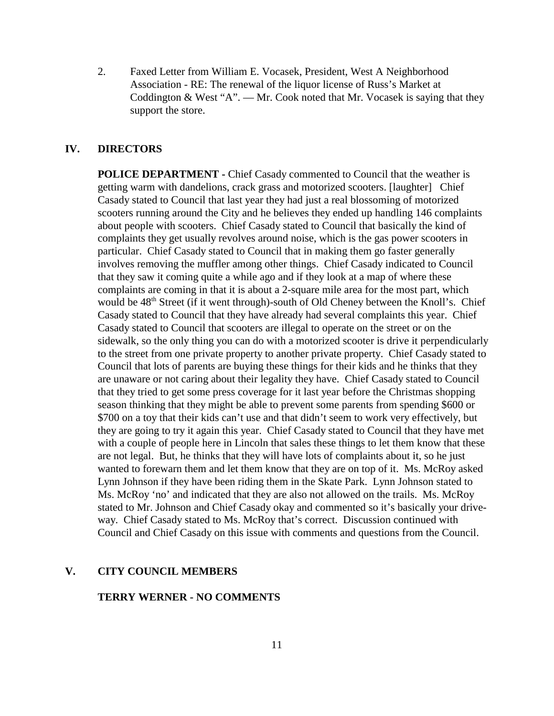2. Faxed Letter from William E. Vocasek, President, West A Neighborhood Association - RE: The renewal of the liquor license of Russ's Market at Coddington & West "A". — Mr. Cook noted that Mr. Vocasek is saying that they support the store.

## **IV. DIRECTORS**

**POLICE DEPARTMENT - Chief Casady commented to Council that the weather is** getting warm with dandelions, crack grass and motorized scooters. [laughter] Chief Casady stated to Council that last year they had just a real blossoming of motorized scooters running around the City and he believes they ended up handling 146 complaints about people with scooters. Chief Casady stated to Council that basically the kind of complaints they get usually revolves around noise, which is the gas power scooters in particular. Chief Casady stated to Council that in making them go faster generally involves removing the muffler among other things. Chief Casady indicated to Council that they saw it coming quite a while ago and if they look at a map of where these complaints are coming in that it is about a 2-square mile area for the most part, which would be 48<sup>th</sup> Street (if it went through)-south of Old Cheney between the Knoll's. Chief Casady stated to Council that they have already had several complaints this year. Chief Casady stated to Council that scooters are illegal to operate on the street or on the sidewalk, so the only thing you can do with a motorized scooter is drive it perpendicularly to the street from one private property to another private property. Chief Casady stated to Council that lots of parents are buying these things for their kids and he thinks that they are unaware or not caring about their legality they have. Chief Casady stated to Council that they tried to get some press coverage for it last year before the Christmas shopping season thinking that they might be able to prevent some parents from spending \$600 or \$700 on a toy that their kids can't use and that didn't seem to work very effectively, but they are going to try it again this year. Chief Casady stated to Council that they have met with a couple of people here in Lincoln that sales these things to let them know that these are not legal. But, he thinks that they will have lots of complaints about it, so he just wanted to forewarn them and let them know that they are on top of it. Ms. McRoy asked Lynn Johnson if they have been riding them in the Skate Park. Lynn Johnson stated to Ms. McRoy 'no' and indicated that they are also not allowed on the trails. Ms. McRoy stated to Mr. Johnson and Chief Casady okay and commented so it's basically your driveway. Chief Casady stated to Ms. McRoy that's correct. Discussion continued with Council and Chief Casady on this issue with comments and questions from the Council.

#### **V. CITY COUNCIL MEMBERS**

#### **TERRY WERNER - NO COMMENTS**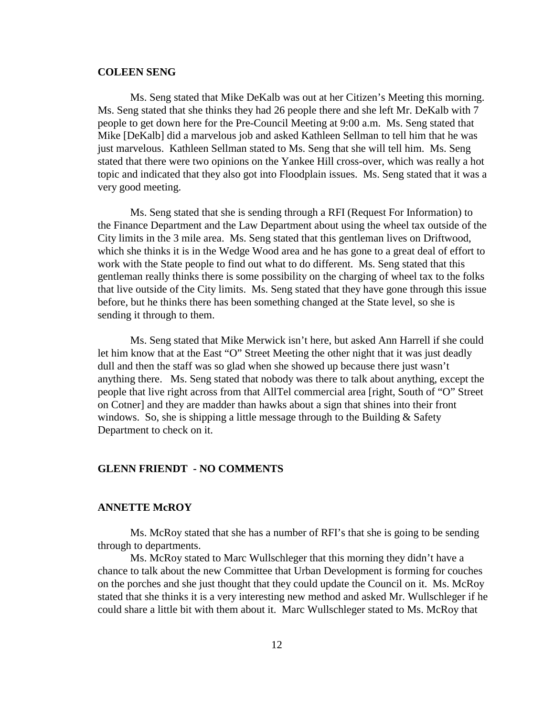#### **COLEEN SENG**

Ms. Seng stated that Mike DeKalb was out at her Citizen's Meeting this morning. Ms. Seng stated that she thinks they had 26 people there and she left Mr. DeKalb with 7 people to get down here for the Pre-Council Meeting at 9:00 a.m. Ms. Seng stated that Mike [DeKalb] did a marvelous job and asked Kathleen Sellman to tell him that he was just marvelous. Kathleen Sellman stated to Ms. Seng that she will tell him. Ms. Seng stated that there were two opinions on the Yankee Hill cross-over, which was really a hot topic and indicated that they also got into Floodplain issues. Ms. Seng stated that it was a very good meeting.

Ms. Seng stated that she is sending through a RFI (Request For Information) to the Finance Department and the Law Department about using the wheel tax outside of the City limits in the 3 mile area. Ms. Seng stated that this gentleman lives on Driftwood, which she thinks it is in the Wedge Wood area and he has gone to a great deal of effort to work with the State people to find out what to do different. Ms. Seng stated that this gentleman really thinks there is some possibility on the charging of wheel tax to the folks that live outside of the City limits. Ms. Seng stated that they have gone through this issue before, but he thinks there has been something changed at the State level, so she is sending it through to them.

Ms. Seng stated that Mike Merwick isn't here, but asked Ann Harrell if she could let him know that at the East "O" Street Meeting the other night that it was just deadly dull and then the staff was so glad when she showed up because there just wasn't anything there. Ms. Seng stated that nobody was there to talk about anything, except the people that live right across from that AllTel commercial area [right, South of "O" Street on Cotner] and they are madder than hawks about a sign that shines into their front windows. So, she is shipping a little message through to the Building  $\&$  Safety Department to check on it.

#### **GLENN FRIENDT - NO COMMENTS**

#### **ANNETTE McROY**

Ms. McRoy stated that she has a number of RFI's that she is going to be sending through to departments.

Ms. McRoy stated to Marc Wullschleger that this morning they didn't have a chance to talk about the new Committee that Urban Development is forming for couches on the porches and she just thought that they could update the Council on it. Ms. McRoy stated that she thinks it is a very interesting new method and asked Mr. Wullschleger if he could share a little bit with them about it. Marc Wullschleger stated to Ms. McRoy that